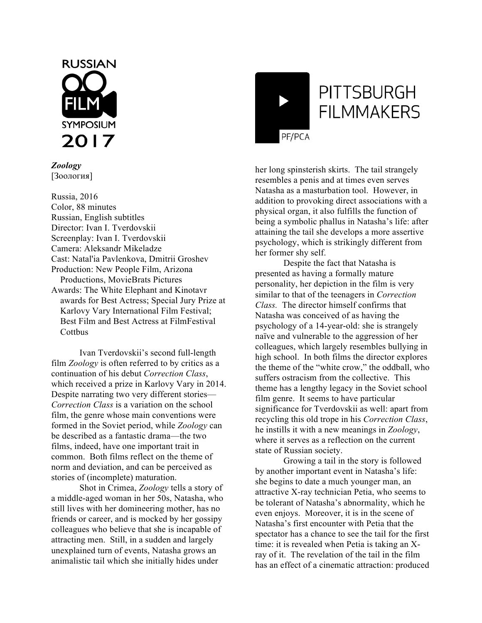

*Zoology* [Зоология]

Russia, 2016 Color, 88 minutes Russian, English subtitles Director: Ivan I. Tverdovskii Screenplay: Ivan I. Tverdovskii Camera: Aleksandr Mikeladze Cast: Natal'ia Pavlenkova, Dmitrii Groshev Production: New People Film, Arizona Productions, MovieBrats Pictures Awards: The White Elephant and Kinotavr awards for Best Actress; Special Jury Prize at Karlovy Vary International Film Festival; Best Film and Best Actress at FilmFestival **Cottbus** 

Ivan Tverdovskii's second full-length film *Zoology* is often referred to by critics as a continuation of his debut *Correction Class*, which received a prize in Karlovy Vary in 2014. Despite narrating two very different stories— *Correction Class* is a variation on the school film, the genre whose main conventions were formed in the Soviet period, while *Zoology* can be described as a fantastic drama—the two films, indeed, have one important trait in common. Both films reflect on the theme of norm and deviation, and can be perceived as stories of (incomplete) maturation.

Shot in Crimea, *Zoology* tells a story of a middle-aged woman in her 50s, Natasha, who still lives with her domineering mother, has no friends or career, and is mocked by her gossipy colleagues who believe that she is incapable of attracting men. Still, in a sudden and largely unexplained turn of events, Natasha grows an animalistic tail which she initially hides under



her long spinsterish skirts. The tail strangely resembles a penis and at times even serves Natasha as a masturbation tool. However, in addition to provoking direct associations with a physical organ, it also fulfills the function of being a symbolic phallus in Natasha's life: after attaining the tail she develops a more assertive psychology, which is strikingly different from her former shy self.

Despite the fact that Natasha is presented as having a formally mature personality, her depiction in the film is very similar to that of the teenagers in *Correction Class.* The director himself confirms that Natasha was conceived of as having the psychology of a 14-year-old: she is strangely naïve and vulnerable to the aggression of her colleagues, which largely resembles bullying in high school. In both films the director explores the theme of the "white crow," the oddball, who suffers ostracism from the collective. This theme has a lengthy legacy in the Soviet school film genre. It seems to have particular significance for Tverdovskii as well: apart from recycling this old trope in his *Correction Class*, he instills it with a new meanings in *Zoology*, where it serves as a reflection on the current state of Russian society.

Growing a tail in the story is followed by another important event in Natasha's life: she begins to date a much younger man, an attractive X-ray technician Petia, who seems to be tolerant of Natasha's abnormality, which he even enjoys. Moreover, it is in the scene of Natasha's first encounter with Petia that the spectator has a chance to see the tail for the first time: it is revealed when Petia is taking an Xray of it. The revelation of the tail in the film has an effect of a cinematic attraction: produced